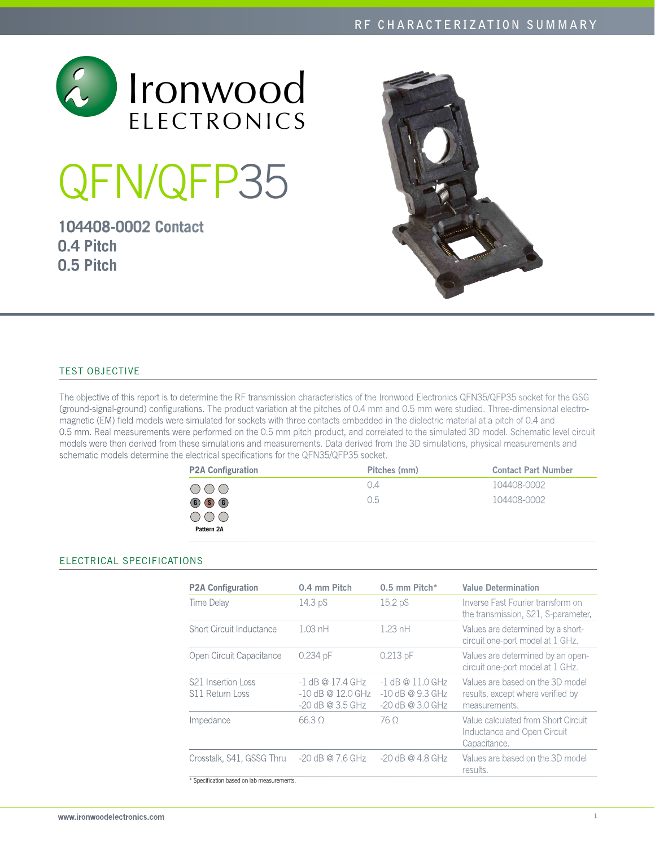

# QFN/QFP35

**104408-0002 Contact 0.4 Pitch 0.5 Pitch**



# Test Objective

The objective of this report is to determine the RF transmission characteristics of the Ironwood Electronics QFN35/QFP35 socket for the GSG (ground-signal-ground) configurations. The product variation at the pitches of 0.4 mm and 0.5 mm were studied. Three-dimensional electromagnetic (EM) field models were simulated for sockets with three contacts embedded in the dielectric material at a pitch of 0.4 and 0.5 mm. Real measurements were performed on the 0.5 mm pitch product, and correlated to the simulated 3D model. Schematic level circuit models were then derived from these simulations and measurements. Data derived from the 3D simulations, physical measurements and schematic models determine the electrical specifications for the QFN35/QFP35 socket.

| <b>P2A Configuration</b>      | Pitches (mm) | <b>Contact Part Number</b> |
|-------------------------------|--------------|----------------------------|
| OOO                           | 0.4          | 104408-0002                |
| $\circledcirc$ $\circledcirc$ | 0.5          | 104408-0002                |
| OOO                           |              |                            |
| Pattern 2A                    |              |                            |

## Electrical SPECIFICATIONS

| <b>P2A Configuration</b>                                               | 0.4 mm Pitch                                                    | $0.5$ mm Pitch*                                                | <b>Value Determination</b>                                                             |
|------------------------------------------------------------------------|-----------------------------------------------------------------|----------------------------------------------------------------|----------------------------------------------------------------------------------------|
| Time Delay                                                             | 14.3 pS                                                         | 15.2 pS                                                        | Inverse Fast Fourier transform on<br>the transmission, S21, S-parameter.               |
| Short Circuit Inductance                                               | $1.03$ nH                                                       | $1.23$ nH                                                      | Values are determined by a short-<br>circuit one-port model at 1 GHz.                  |
| Open Circuit Capacitance                                               | 0.234 pF                                                        | $0.213$ pF                                                     | Values are determined by an open-<br>circuit one-port model at 1 GHz.                  |
| S <sub>21</sub> Insertion Loss<br>S11 Return Loss                      | $-1$ dB @ 17.4 GHz<br>$-10$ dB @ 12.0 GHz<br>$-20$ dB @ 3.5 GHz | $-1$ dB @ 11.0 GHz<br>$-10$ dB @ 9.3 GHz<br>$-20$ dB @ 3.0 GHz | Values are based on the 3D model<br>results, except where verified by<br>measurements. |
| Impedance                                                              | 66.30                                                           | 76 O                                                           | Value calculated from Short Circuit<br>Inductance and Open Circuit<br>Capacitance.     |
| Crosstalk, S41, GSSG Thru<br>* Specification based on lab measurements | $-20$ dB @ 7.6 GHz                                              | $-20$ dB @ 4.8 GHz                                             | Values are based on the 3D model<br>results.                                           |

www.ironwoodelectronics.com 1 and 1 and 2 and 2 and 2 and 2 and 2 and 2 and 2 and 2 and 2 and 2 and 2 and 2 and 2 and 2 and 2 and 2 and 2 and 2 and 2 and 2 and 2 and 2 and 2 and 2 and 2 and 2 and 2 and 2 and 2 and 2 and 2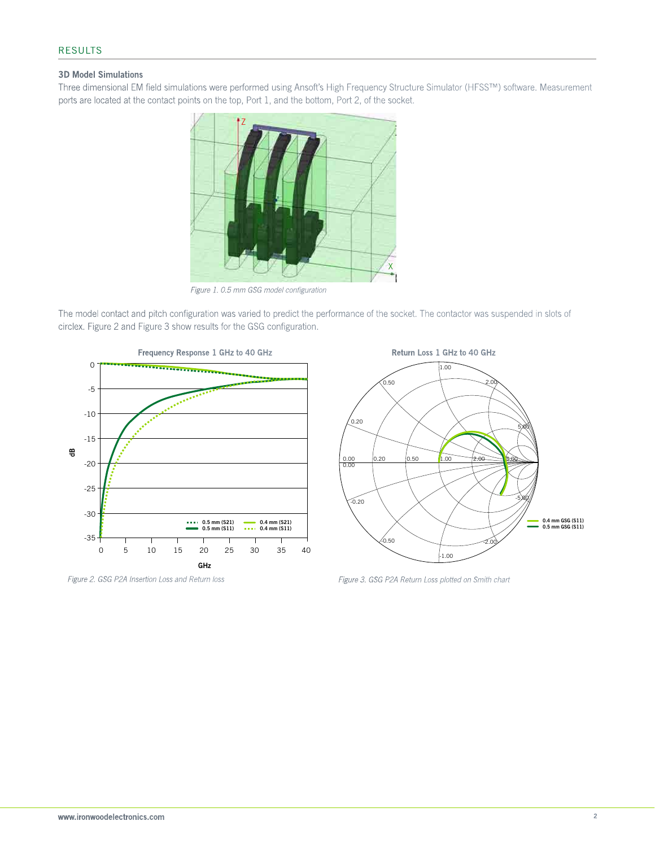### 3D Model Simulations

Three dimensional EM field simulations were performed using Ansoft's High Frequency Structure Simulator (HFSS™) software. Measurement ports are located at the contact points on the top, Port 1, and the bottom, Port 2, of the socket.



*Figure 1. 0.5 mm GSG model configuration*

The model contact and pitch configuration was varied to predict the performance of the socket. The contactor was suspended in slots of circlex. Figure 2 and Figure 3 show results for the GSG configuration.





*Figure 2. GSG P2A Insertion Loss and Return loss Figure 3. GSG P2A Return Loss plotted on Smith chart*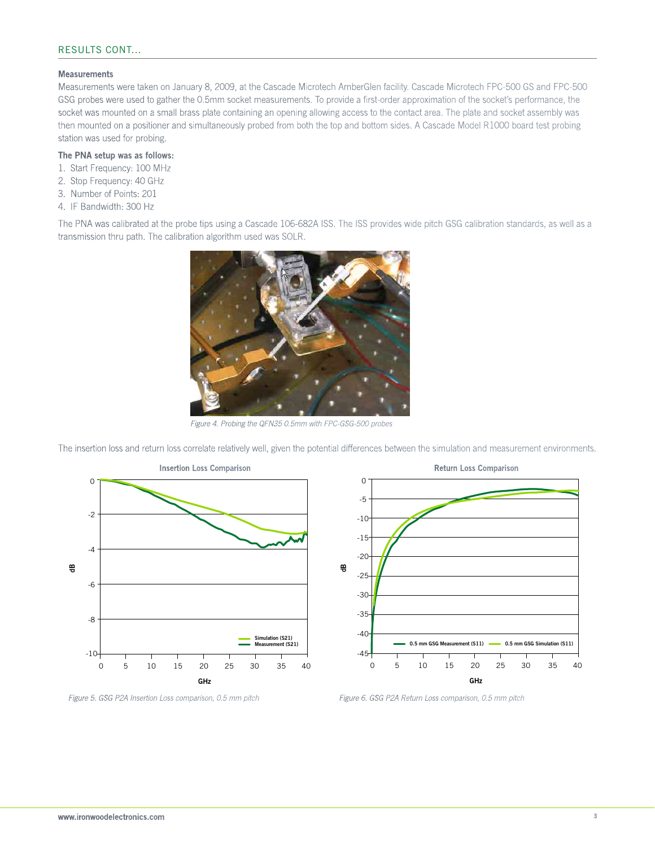#### Measurements

Measurements were taken on January 8, 2009, at the Cascade Microtech AmberGlen facility. Cascade Microtech FPC-500 GS and FPC-500 GSG probes were used to gather the 0.5mm socket measurements. To provide a first-order approximation of the socket's performance, the socket was mounted on a small brass plate containing an opening allowing access to the contact area. The plate and socket assembly was then mounted on a positioner and simultaneously probed from both the top and bottom sides. A Cascade Model R1000 board test probing station was used for probing.

### The PNA setup was as follows:

- 1. Start Frequency: 100 MHz
- 2. Stop Frequency: 40 GHz
- 3. Number of Points: 201
- 4. IF Bandwidth: 300 Hz

The PNA was calibrated at the probe tips using a Cascade 106-682A ISS. The ISS provides wide pitch GSG calibration standards, as well as a transmission thru path. The calibration algorithm used was SOLR.



*Figure 4. Probing the QFN35 0.5mm with FPC-GSG-500 probes*

The insertion loss and return loss correlate relatively well, given the potential differences between the simulation and measurement environments.





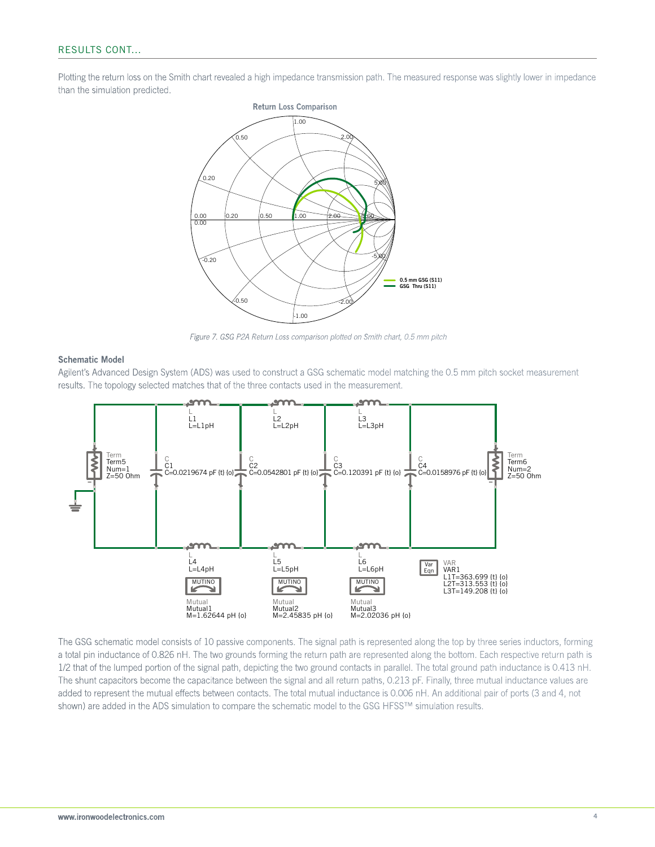Plotting the return loss on the Smith chart revealed a high impedance transmission path. The measured response was slightly lower in impedance than the simulation predicted.



*Figure 7. GSG P2A Return Loss comparison plotted on Smith chart, 0.5 mm pitch*

#### Schematic Model

Agilent's Advanced Design System (ADS) was used to construct a GSG schematic model matching the 0.5 mm pitch socket measurement results. The topology selected matches that of the three contacts used in the measurement.



The GSG schematic model consists of 10 passive components. The signal path is represented along the top by three series inductors, forming a total pin inductance of 0.826 nH. The two grounds forming the return path are represented along the bottom. Each respective return path is 1/2 that of the lumped portion of the signal path, depicting the two ground contacts in parallel. The total ground path inductance is 0.413 nH. The shunt capacitors become the capacitance between the signal and all return paths, 0.213 pF. Finally, three mutual inductance values are added to represent the mutual effects between contacts. The total mutual inductance is 0.006 nH. An additional pair of ports (3 and 4, not shown) are added in the ADS simulation to compare the schematic model to the GSG HFSS™ simulation results.